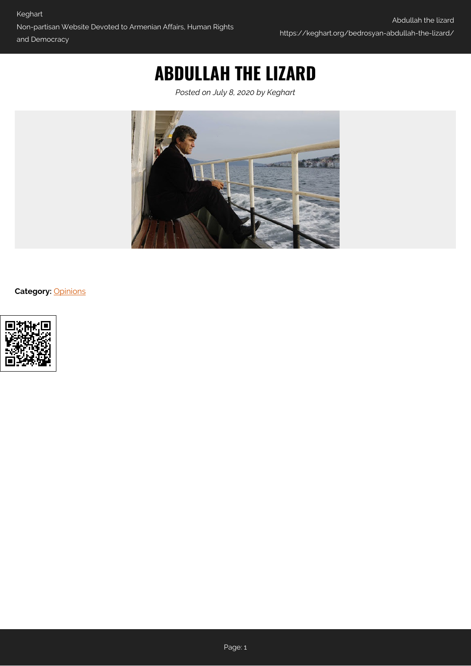## **ABDULLAH THE LIZARD**

*Posted on July 8, 2020 by Keghart*



**Category:** [Opinions](https://keghart.org/category/opinions/)

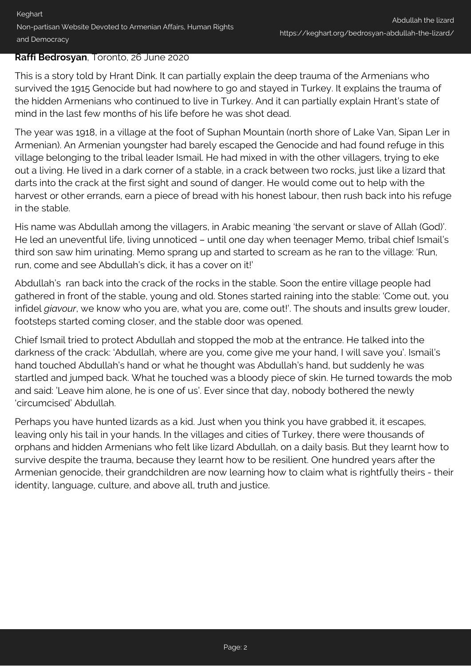## **Raffi Bedrosyan**, Toronto, 26 June 2020

This is a story told by Hrant Dink. It can partially explain the deep trauma of the Armenians who survived the 1915 Genocide but had nowhere to go and stayed in Turkey. It explains the trauma of the hidden Armenians who continued to live in Turkey. And it can partially explain Hrant's state of mind in the last few months of his life before he was shot dead.

The year was 1918, in a village at the foot of Suphan Mountain (north shore of Lake Van, Sipan Ler in Armenian). An Armenian youngster had barely escaped the Genocide and had found refuge in this village belonging to the tribal leader Ismail. He had mixed in with the other villagers, trying to eke out a living. He lived in a dark corner of a stable, in a crack between two rocks, just like a lizard that darts into the crack at the first sight and sound of danger. He would come out to help with the harvest or other errands, earn a piece of bread with his honest labour, then rush back into his refuge in the stable.

His name was Abdullah among the villagers, in Arabic meaning 'the servant or slave of Allah (God)'. He led an uneventful life, living unnoticed – until one day when teenager Memo, tribal chief Ismail's third son saw him urinating. Memo sprang up and started to scream as he ran to the village: 'Run, run, come and see Abdullah's dick, it has a cover on it!'

Abdullah's ran back into the crack of the rocks in the stable. Soon the entire village people had gathered in front of the stable, young and old. Stones started raining into the stable: 'Come out, you infidel *giavour*, we know who you are, what you are, come out!'. The shouts and insults grew louder, footsteps started coming closer, and the stable door was opened.

Chief Ismail tried to protect Abdullah and stopped the mob at the entrance. He talked into the darkness of the crack: 'Abdullah, where are you, come give me your hand, I will save you'. Ismail's hand touched Abdullah's hand or what he thought was Abdullah's hand, but suddenly he was startled and jumped back. What he touched was a bloody piece of skin. He turned towards the mob and said: 'Leave him alone, he is one of us'. Ever since that day, nobody bothered the newly 'circumcised' Abdullah.

Perhaps you have hunted lizards as a kid. Just when you think you have grabbed it, it escapes, leaving only his tail in your hands. In the villages and cities of Turkey, there were thousands of orphans and hidden Armenians who felt like lizard Abdullah, on a daily basis. But they learnt how to survive despite the trauma, because they learnt how to be resilient. One hundred years after the Armenian genocide, their grandchildren are now learning how to claim what is rightfully theirs - their identity, language, culture, and above all, truth and justice.